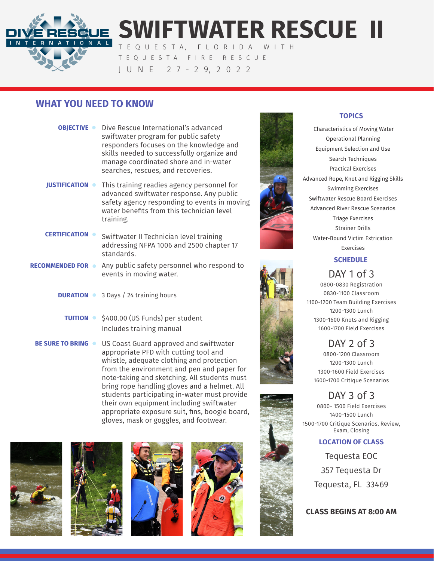

# **SWIFTWATER RESCUE II**

T E Q U E S T A, F L O R I D A W I T H TEQUESTA FIRE RESCUE J U N E 2 7 - 2 9, 2 0 2 2

## **WHAT YOU NEED TO KNOW**

| <b>OBJECTIVE</b>          | Dive Rescue International's advanced<br>swiftwater program for public safety<br>responders focuses on the knowledge and<br>skills needed to successfully organize and<br>manage coordinated shore and in-water<br>searches, rescues, and recoveries. |
|---------------------------|------------------------------------------------------------------------------------------------------------------------------------------------------------------------------------------------------------------------------------------------------|
| <b>JUSTIFICATION</b>      | This training readies agency personnel for<br>advanced swiftwater response. Any public<br>safety agency responding to events in moving<br>water benefits from this technician level<br>training.                                                     |
| <b>CERTIFICATION</b>      | Swiftwater II Technician level training<br>addressing NFPA 1006 and 2500 chapter 17<br>standards.                                                                                                                                                    |
| <b>RECOMMENDED FOR</b>    | Any public safety personnel who respond to<br>events in moving water.                                                                                                                                                                                |
| <b>DURATION</b> $\bullet$ | 3 Days / 24 training hours                                                                                                                                                                                                                           |
| <b>TUITION</b>            | \$400.00 (US Funds) per student<br>Includes training manual                                                                                                                                                                                          |
| <b>BE SURE TO BRING</b>   | US Coast Guard approved and swiftwater<br>appropriate PFD with cutting tool and<br>whistle, adequate clothing and protection<br>from the environment and pen and paper for                                                                           |

#### **TOPICS**

 Characteristics of Moving Water Operational Planning Equipment Selection and Use Search Techniques Practical Exercises Advanced Rope, Knot and Rigging Skills Swimming Exercises Swiftwater Rescue Board Exercises Advanced River Rescue Scenarios Triage Exercises Strainer Drills Water-Bound Victim Extrication Exercises

## **SCHEDULE**

## DAY 1 of 3

0800-0830 Registration 0830-1100 Classroom 1100-1200 Team Building Exercises 1200-1300 Lunch 1300-1600 Knots and Rigging 1600-1700 Field Exercises

DAY 2 of 3 0800-1200 Classroom 1200-1300 Lunch 1300-1600 Field Exercises 1600-1700 Critique Scenarios

## DAY 3 of 3

0800- 1500 Field Exercises 1400-1500 Lunch 1500-1700 Critique Scenarios, Review, Exam, Closing

#### **LOCATION OF CLASS**

Tequesta EOC 357 Tequesta Dr Tequesta, FL 33469

## **CLASS BEGINS AT 8:00 AM**







note-taking and sketching. All students must bring rope handling gloves and a helmet. All students participating in-water must provide their own equipment including swiftwater appropriate exposure suit, fins, boogie board, gloves, mask or goggles, and footwear.